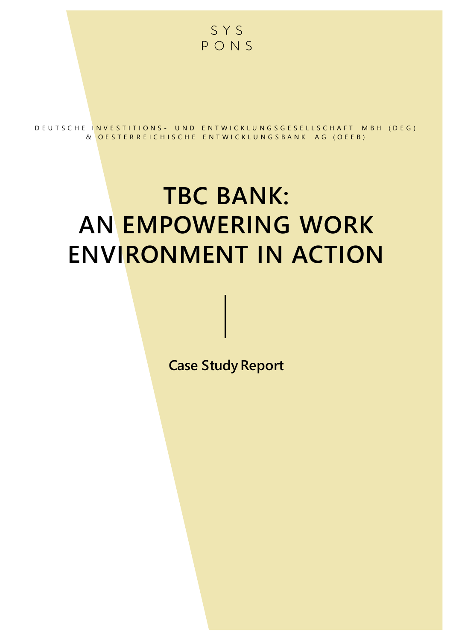

D E U T S C H E IN V E S T I T I O N S - U N D E N T W I C K L U N G S G E S E L L S C H A F T M B H ( D E G ) & OESTERREICHISCHE ENTWICKLUNGSBANK AG (OEEB)

# **TBC BANK: AN EMPOWERING WORK ENVIRONMENT IN ACTION**

**Case Study Report**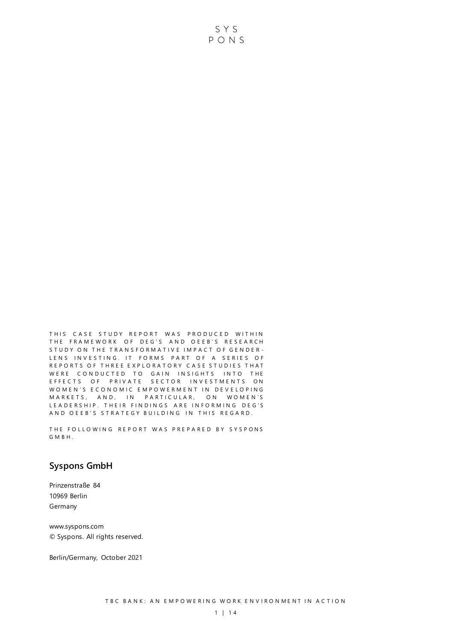THIS CASE STUDY REPORT WAS PRODUCED WITHIN THE FRAMEWORK OF DEG'S AND OEEB'S RESEARCH STUDY ON THE TRANSFORMATIVE IMPACT OF GENDER-LENS INVESTING. IT FORMS PART OF A SERIES OF REPORTS OF THREE EXPLORATORY CASE STUDIES THAT WERE CONDUCTED TO GAIN INSIGHTS INTO THE E F F E C T S O F P RIVATE SECTOR INVESTMENTS ON WOMEN'S ECONOMIC EMPOWERMENT IN DEVELOPING M A R K E T S, AND, IN PARTICULAR, ON WOMEN'S LEADERSHIP. THEIR FINDINGS ARE INFORMING DEG'S AND OEEB'S STRATEGY BUILDING IN THIS REGARD.

THE FOLLOWING REPORT WAS PREPARED BY SYSPONS G M B H .

#### **Syspons GmbH**

Prinzenstraße 84 10969 Berlin Germany

www.syspons.com © Syspons. All rights reserved.

Berlin/Germany, October 2021

SYS PONS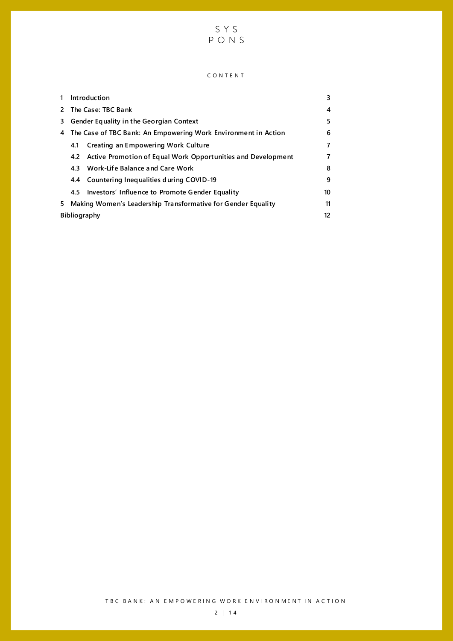

#### C O N T E N T

| 1                   | Introduction                                                   |                                                                  | 3              |
|---------------------|----------------------------------------------------------------|------------------------------------------------------------------|----------------|
| 2                   | The Case: TBC Bank                                             |                                                                  | 4              |
| 3                   | Gender Equality in the Georgian Context                        |                                                                  | 5              |
| 4                   | The Case of TBC Bank: An Empowering Work Environment in Action |                                                                  | 6              |
|                     | 4.1                                                            | Creating an Empowering Work Culture                              | $\overline{7}$ |
|                     |                                                                | 4.2 Active Promotion of Equal Work Opportunities and Development | 7              |
|                     |                                                                | 4.3 Work-Life Balance and Care Work                              | 8              |
|                     |                                                                | 4.4 Countering Inequalities during COVID-19                      | 9              |
|                     | 4.5                                                            | Investors' Influence to Promote Gender Equality                  | 10             |
| 5.                  | Making Women's Leadership Transformative for Gender Equality   |                                                                  | 11             |
| <b>Bibliography</b> |                                                                |                                                                  | 12             |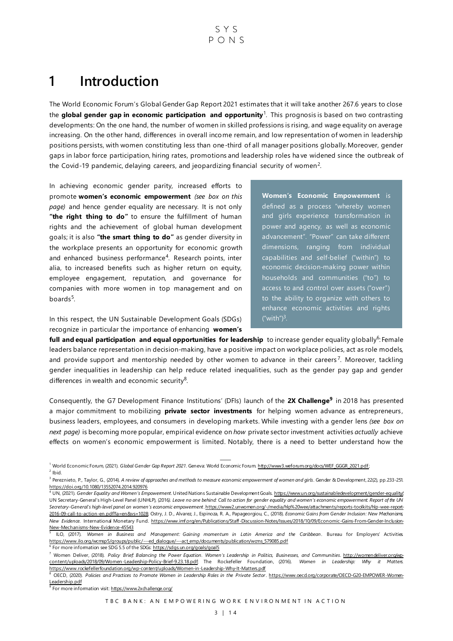### <span id="page-3-0"></span>**1 Introduction**

The World Economic Forum's Global Gender Gap Report 2021 estimates that it will take another 267.6 years to close the **global gender gap in economic participation and opportunity**<sup>1</sup> . This prognosis is based on two contrasting developments: On the one hand, the number of women in skilled professions is rising, and wage equality on average increasing. On the other hand, differences in overall income remain, and low representation of women in leadership positions persists, with women constituting less than one-third of all manager positions globally. Moreover, gender gaps in labor force participation, hiring rates, promotions and leadership roles ha ve widened since the outbreak of the Covid-19 pandemic, delaying careers, and jeopardizing financial security of women<sup>2</sup>.

In achieving economic gender parity, increased efforts to promote **women's economic empowerment** *(see box on this page)* and hence gender equality are necessary. It is not only "the right thing to do" to ensure the fulfillment of human rights and the achievement of global human development goals; it is also **"the smart thing to do"** as gender diversity in the workplace presents an opportunity for economic growth and enhanced business performance<sup>4</sup>. Research points, inter alia, to increased benefits such as higher return on equity, employee engagement, reputation, and governance for companies with more women in top management and on boards<sup>5</sup>.

In this respect, the UN Sustainable Development Goals (SDGs) recognize in particular the importance of enhancing **women's**  **Women's Economic Empowerment** is defined as a process "whereby women and girls experience transformation in power and agency, as well as economic advancement". "Power" can take different dimensions, ranging from individual capabilities and self-belief ("within") to economic decision-making power within households and communities ("to") to access to and control over assets ("over") to the ability to organize with others to enhance economic activities and rights  $("with")^3$ .

**full and equal participation and equal opportunities for leadership** to increase gender equality globally<sup>6</sup>: Female leaders balance representation in decision-making, have a positive impact on workplace policies, act as role models, and provide support and mentorship needed by other women to advance in their careers<sup>7</sup>. Moreover, tackling gender inequalities in leadership can help reduce related inequalities, such as the gender pay gap and gender differences in wealth and economic security $8$ .

Consequently, the G7 Development Finance Institutions' (DFIs) launch of the **2X Challenge<sup>9</sup>** in 2018 has presented a major commitment to mobilizing **private sector investments** for helping women advance as entrepreneurs, business leaders, employees, and consumers in developing markets. While investing with a gender lens *(see box on next page)* is becoming more popular, empirical evidence on *how* private sector investment activities *actually* achieve effects on women's economic empowerment is limited. Notably, there is a need to better understand how the

<sup>6</sup> For more information see SDG 5.5 of the SDG[s: https://sdgs.un.org/goals/goal5](https://sdgs.un.org/goals/goal5)

<sup>7</sup> Women Deliver, (2018). *Policy Brief: Balancing the Power Equation. Women's Leadership in Politics, Businesses, and Communities*[. http://womendeliver.org/wp](http://womendeliver.org/wp-content/uploads/2018/09/Women-Leadership-Policy-Brief-9.23.18.pdf)[content/uploads/2018/09/Women-Leadership-Policy-Brief-9.23.18.pdf;](http://womendeliver.org/wp-content/uploads/2018/09/Women-Leadership-Policy-Brief-9.23.18.pdf) The Rockefeller Foundation, (2016). *Women in Leadership: Why it Matters*. <https://www.rockefellerfoundation.org/wp-content/uploads/Women-in-Leadership-Why-It-Matters.pdf>

<sup>9</sup> For more information visi[t: https://www.2xchallenge.org/](https://www.2xchallenge.org/)

<sup>1</sup> ⸻ World Economic Forum, (2021). *Global Gender Gap Report 2021*. Geneva: World Economic Foru[m. http://www3.weforum.org/docs/WEF\\_GGGR\\_2021.pdf](http://www3.weforum.org/docs/WEF_GGGR_2021.pdf);

 $2$  Ibid.

<sup>3</sup> Pereznieto, P., Taylor, G., (2014). *A review of approaches and methods to measure economic empowerment of women and girls*. Gender & Development, 22(2), pp.233-251. <https://doi.org/10.1080/13552074.2014.920976>

<sup>4</sup> UN, (2021). *Gender Equality and Women's Empowerment.* United Nations Sustainable Development Goal[s. https://www.un.org/sustainabledevelopment/gender-equality/;](https://www.un.org/sustainabledevelopment/gender-equality/)  UN Secretary-General's High-Level Panel (UNHLP), (2016*). Leave no one behind: Call to action for gender equality and women's economic empowerment. Report of the UN Secretary-General's high-level panel on women's economic empowerment*[. https://www2.unwomen.org/-/media/hlp%20wee/attachments/reports-toolkits/hlp-wee-report-](https://www2.unwomen.org/-/media/hlp%20wee/attachments/reports-toolkits/hlp-wee-report-2016-09-call-to-action-en.pdf?la=en&vs=1028)[2016-09-call-to-action-en.pdf?la=en&vs=1028;](https://www2.unwomen.org/-/media/hlp%20wee/attachments/reports-toolkits/hlp-wee-report-2016-09-call-to-action-en.pdf?la=en&vs=1028) Ostry, J. D., Alvarez, J., Espinoza, R. A., Papageorgiou, C., (2018). *Economic Gains from Gender Inclusion: New Mechanisms, New Evidence.* International Monetary Fund. https://www.imf.org/en/Publications/Staff [-Discussion-Notes/Issues/2018/10/09/Economic-Gains-From-Gender-Inclusion-](https://www.imf.org/en/Publications/Staff-Discussion-Notes/‌Issues/2018/10/09/Economic-Gains-From-Gender-Inclusion-New-Mechanisms-New-Evidence-45543)[New-Mechanisms-New-Evidence-45543](https://www.imf.org/en/Publications/Staff-Discussion-Notes/‌Issues/2018/10/09/Economic-Gains-From-Gender-Inclusion-New-Mechanisms-New-Evidence-45543) 

<sup>5</sup> ILO, (2017). *Women in Business and Management: Gaining momentum in Latin America and the Caribbean*. Bureau for Employers' Activities. [https://www.ilo.org/wcmsp5/groups/public/---ed\\_dialogue/---act\\_emp/documents/publication/wcms\\_579085.pdf](https://www.ilo.org/wcmsp5/groups/public/---ed_dialogue/---act_emp/documents/publication/wcms_579085.pdf)

<sup>8</sup> OECD, (2020). Policies and Practices to Promote Women in Leadership Roles in the Private Sector[. https://www.oecd.org/corporate/OECD-G20-EMPOWER-Women-](https://www.oecd.org/corporate/OECD-G20-EMPOWER-Women-Leadership.pdf)[Leadership.pdf](https://www.oecd.org/corporate/OECD-G20-EMPOWER-Women-Leadership.pdf)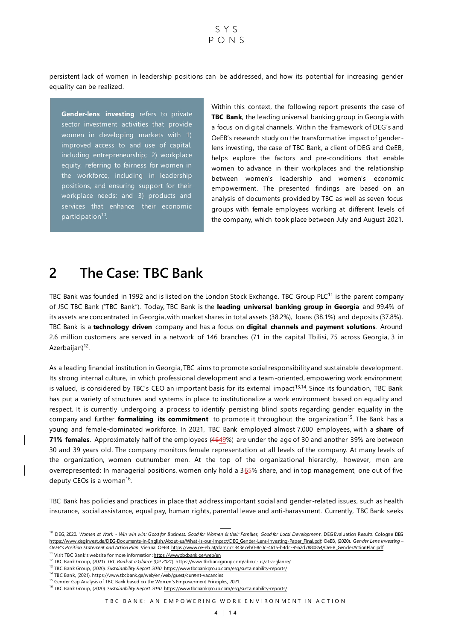$S Y S$  $P \cap N S$ 

persistent lack of women in leadership positions can be addressed, and how its potential for increasing gender equality can be realized.

**Gender-lens investing** refers to private sector investment activities that provide women in developing markets with 1) improved access to and use of capital, including entrepreneurship; 2) workplace equity, referring to fairness for women in the workforce, including in leadership positions, and ensuring support for their workplace needs; and 3) products and services that enhance their economic participation<sup>10</sup>.

Within this context, the following report presents the case of **TBC Bank**, the leading universal banking group in Georgia with a focus on digital channels. Within the framework of DEG's and OeEB's research study on the transformative impact of genderlens investing, the case of TBC Bank, a client of DEG and OeEB, helps explore the factors and pre-conditions that enable women to advance in their workplaces and the relationship between women's leadership and women's economic empowerment. The presented findings are based on an analysis of documents provided by TBC as well as seven focus groups with female employees working at different levels of the company, which took place between July and August 2021.

### <span id="page-4-0"></span>**2 The Case: TBC Bank**

TBC Bank was founded in 1992 and is listed on the London Stock Exchange. TBC Group PLC<sup>11</sup> is the parent company of JSC TBC Bank ("TBC Bank"). Today, TBC Bank is the **leading universal banking group in Georgia** and 99.4% of its assets are concentrated in Georgia, with market shares in total assets (38.2%), loans (38.1%) and deposits (37.8%). TBC Bank is a **technology driven** company and has a focus on **digital channels and payment solutions**. Around 2.6 million customers are served in a network of 146 branches (71 in the capital Tbilisi, 75 across Georgia, 3 in Azerbaijan)<sup>12</sup>.

As a leading financial institution in Georgia, TBC aims to promote social responsibility and sustainable development. Its strong internal culture, in which professional development and a team -oriented, empowering work environment is valued, is considered by TBC's CEO an important basis for its external impact<sup>13,14</sup>. Since its foundation, TBC Bank has put a variety of structures and systems in place to institutionalize a work environment based on equality and respect. It is currently undergoing a process to identify persisting blind spots regarding gender equality in the company and further **formalizing its commitment** to promote it throughout the organization<sup>15</sup>. The Bank has a young and female-dominated workforce. In 2021, TBC Bank employed almost 7.000 employees, with a **share of 71% females**. Approximately half of the employees (4649%) are under the age of 30 and another 39% are between 30 and 39 years old. The company monitors female representation at all levels of the company. At many levels of the organization, women outnumber men. At the top of the organizational hierarchy, however, men are overrepresented: In managerial positions, women only hold a 365% share, and in top management, one out of five deputy CEOs is a woman<sup>16</sup>.

TBC Bank has policies and practices in place that address important social and gender-related issues, such as health insurance, social assistance, equal pay, human rights, parental leave and anti-harassment. Currently, TBC Bank seeks

<sup>&</sup>lt;sup>10</sup> DEG, 2020. Women at Work - Win win win: Good for Business, Good for Women & their Families, Good for Local Development. DEG Evaluation Results. Cologne: DEG https://www.deginvest.de/DEG-Documents-in-English/About-us/What-is-our-impact/DEG\_Gender-Lens-Investing-Paper\_Final.pdf; OeEB, (2020). *Gender Lens Investing – OeEB's Position Statement and Action Plan.* Vienna: OeEB. https://www.oe-eb.at/dam/jcr:343e7eb0-8c0c-4615-b4dc-9562d7880854/OeEB\_GenderActionPlan.pdf

<sup>&</sup>lt;sup>11</sup> Visit TBC Bank's website for more information: <https://www.tbcbank.ge/web/en>

<sup>12</sup> TBC Bank Group, (2021). *TBC Bank at a Glance (Q2 2021*). https://www.tbcbankgroup.com/about-us/at-a-glance/ <sup>13</sup> TBC Bank Group, (2020). *Sustainability Report 2020*[. https://www.tbcbankgroup.com/esg/sustainability-reports/](https://www.tbcbankgroup.com/esg/sustainability-reports/)

<sup>&</sup>lt;sup>14</sup> TBC Bank, (2021[\). https://www.tbcbank.ge/web/en/web/guest/current-vacancies](https://www.tbcbank.ge/web/en/web/guest/current-vacancies)

<sup>&</sup>lt;sup>15</sup> Gender Gap Analysis of TBC Bank based on the Women's Empowerment Principles, 2021.

<sup>&</sup>lt;sup>16</sup> TBC Bank Group, (2020). *Sustainability Report 2020*[. https://www.tbcbankgroup.com/esg/sustainability-reports/](https://www.tbcbankgroup.com/esg/sustainability-reports/)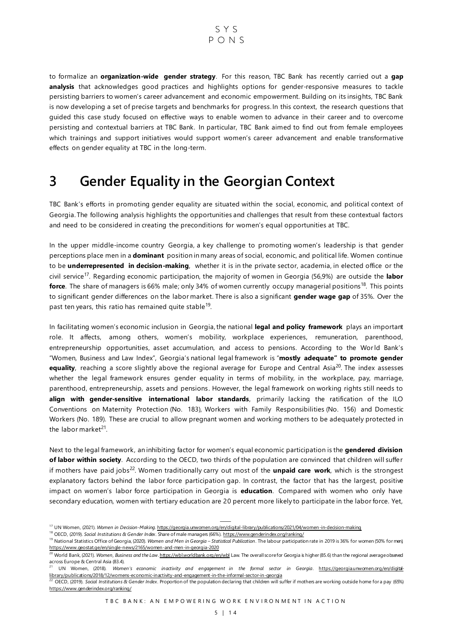to formalize an **organization-wide gender strategy**. For this reason, TBC Bank has recently carried out a **gap analysis** that acknowledges good practices and highlights options for gender-responsive measures to tackle persisting barriers to women's career advancement and economic empowerment. Building on its insights, TBC Bank is now developing a set of precise targets and benchmarks for progress. In this context, the research questions that guided this case study focused on effective ways to enable women to advance in their career and to overcome persisting and contextual barriers at TBC Bank. In particular, TBC Bank aimed to find out from female employees which trainings and support initiatives would support women's career advancement and enable transformative effects on gender equality at TBC in the long-term.

### <span id="page-5-0"></span>**3 Gender Equality in the Georgian Context**

TBC Bank's efforts in promoting gender equality are situated within the social, economic, and political context of Georgia. The following analysis highlights the opportunities and challenges that result from these contextual factors and need to be considered in creating the preconditions for women's equal opportunities at TBC.

In the upper middle-income country Georgia, a key challenge to promoting women's leadership is that gender perceptions place men in a **dominant** position in many areas of social, economic, and political life. Women continue to be **underrepresented in decision-making**, whether it is in the private sector, academia, in elected office or the civil service<sup>17</sup> . Regarding economic participation, the majority of women in Georgia (56,9%) are outside the **labor force**. The share of managers is 66% male; only 34% of women currently occupy managerial positions<sup>18</sup>. This points to significant gender differences on the labor market. There is also a significant **gender wage gap** of 35%. Over the past ten years, this ratio has remained quite stable<sup>19</sup>.

In facilitating women's economic inclusion in Georgia, the national **legal and policy framework** plays an important role. It affects, among others, women's mobility, workplace experiences, remuneration, parenthood, entrepreneurship opportunities, asset accumulation, and access to pensions. According to the World Bank's "Women, Business and Law Index", Georgia's national legal framework is "**mostly adequate" to promote gender**  equality, reaching a score slightly above the regional average for Europe and Central Asia<sup>20</sup>. The index assesses whether the legal framework ensures gender equality in terms of mobility, in the workplace, pay, marriage, parenthood, entrepreneurship, assets and pensions. However, the legal framework on working rights still needs to **align with gender-sensitive international labor standards**, primarily lacking the ratification of the ILO Conventions on Maternity Protection (No. 183), Workers with Family Responsibilities (No. 156) and Domestic Workers (No. 189). These are crucial to allow pregnant women and working mothers to be adequately protected in the labor market<sup>21</sup>.

Next to the legal framework, an inhibiting factor for women's equal economic participation is the **gendered division of labor within society**. According to the OECD, two thirds of the population are convinced that children will suffer if mothers have paid jobs<sup>22</sup>. Women traditionally carry out most of the **unpaid care work**, which is the strongest explanatory factors behind the labor force participation gap. In contrast, the factor that has the largest, positive impact on women's labor force participation in Georgia is **education**. Compared with women who only have secondary education, women with tertiary education are 20 percent more likely to participate in the labor force. Yet,

TBC BANK: AN EMPOWERING WORK ENVIRONMENT IN ACTION

<sup>&</sup>lt;sup>17</sup> UN Women, (2021). Women in Decision-Making[. https://georgia.unwomen.org/en/digital-library/publications/2021/04/women-in-decision-making](https://georgia.unwomen.org/en/digital-library/publications/2021/04/women-in-decision-making)

<sup>18</sup> OECD, (2019). *Social Institutions & Gender Index*. Share of male managers (66%[\). https://www.genderindex.org/ranking/](https://www.genderindex.org/ranking/)

<sup>19</sup> National Statistics Office of Georgia, (2020). *Women and Men in Georgia – Statistical Publication*. The labour participation rate in 2019 is 36% for women (50% for men), <https://www.geostat.ge/en/single-news/2165/women-and-men-in-georgia-2020>

<sup>20</sup> World Bank, (2021). *Women, Business and the Law*[. https://wbl.worldbank.org/en/wbl](https://wbl.worldbank.org/en/wbl) Law. The overall score for Georgia is higher (85.6) than the regional average observed across Europe & Central Asia (83.4).

<sup>&</sup>lt;sup>21</sup> UN Women, (2018). Women's economic inactivity and engagement in the formal sector in Georgia. [https://georgia.unwomen.org/en/digital](https://georgia.unwomen.org/en/digital-library/publications/2018/12/womens-economic-inactivity-and-engagement-in-the-informal-sector-in-georgia)[library/publications/2018/12/womens-economic-inactivity-and-engagement-in-the-informal-sector-in-georgia](https://georgia.unwomen.org/en/digital-library/publications/2018/12/womens-economic-inactivity-and-engagement-in-the-informal-sector-in-georgia)

<sup>22</sup> OECD, (2019). *Social Institutions & Gender Index*. Proportion of the population declaring that children will suffer if mothers are working outside home for a pay (65%) <https://www.genderindex.org/ranking/>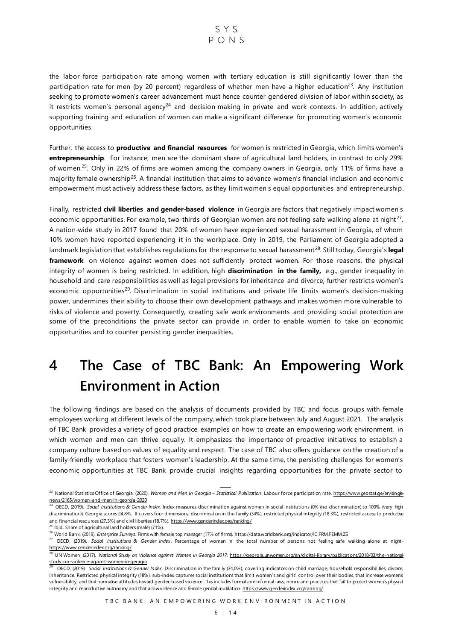the labor force participation rate among women with tertiary education is still significantly lower than the participation rate for men (by 20 percent) regardless of whether men have a higher education<sup>23</sup>. Any institution seeking to promote women's career advancement must hence counter gendered division of labor within society, as it restricts women's personal agency<sup>24</sup> and decision-making in private and work contexts. In addition, actively supporting training and education of women can make a significant difference for promoting women's economic opportunities.

Further, the access to **productive and financial resources** for women is restricted in Georgia, which limits women's **entrepreneurship**. For instance, men are the dominant share of agricultural land holders, in contrast to only 29% of women.<sup>25</sup>. Only in 22% of firms are women among the company owners in Georgia, only 11% of firms have a majority female ownership<sup>26</sup>. A financial institution that aims to advance women's financial inclusion and economic empowerment must actively address these factors, as they limit women's equal opportunities and entrepreneurship.

Finally, restricted **civil liberties and gender-based violence** in Georgia are factors that negatively impact women's economic opportunities. For example, two-thirds of Georgian women are not feeling safe walking alone at night<sup>27</sup>. A nation-wide study in 2017 found that 20% of women have experienced sexual harassment in Georgia, of whom 10% women have reported experiencing it in the workplace. Only in 2019, the Parliament of Georgia adopted a landmark legislation that establishes regulations for the response to sexual harassment<sup>28</sup>. Still today, Georgia's legal **framework** on violence against women does not sufficiently protect women. For those reasons, the physical integrity of women is being restricted. In addition, high **discrimination in the family,** e.g., gender inequality in household and care responsibilities as well as legal provisions for inheritance and divorce, further restricts women's economic opportunities<sup>29</sup>. Discrimination in social institutions and private life limits women's decision-making power, undermines their ability to choose their own development pathways and makes women more vulnerable to risks of violence and poverty. Consequently, creating safe work environments and providing social protection are some of the preconditions the private sector can provide in order to enable women to take on economic opportunities and to counter persisting gender inequalities.

## <span id="page-6-0"></span>**4 The Case of TBC Bank: An Empowering Work Environment in Action**

The following findings are based on the analysis of documents provided by TBC and focus groups with female employees working at different levels of the company, which took place between July and August 2021. The analysis of TBC Bank provides a variety of good practice examples on how to create an empowering work environment, in which women and men can thrive equally. It emphasizes the importance of proactive initiatives to establish a company culture based on values of equality and respect. The case of TBC also offers guidance on the creation of a family-friendly workplace that fosters women's leadership. At the same time, the persisting challenges for women's economic opportunities at TBC Bank provide crucial insights regarding opportunities for the private sector to

<sup>&</sup>lt;sup>23</sup> National Statistics Office of Georgia, (2020). Women and Men in Georgia – Statistical Publication. Labour force participation rate. [https://www.geostat.ge/en/single](https://www.geostat.ge/en/single-news/2165/women-and-men-in-georgia-2020)[news/2165/women-and-men-in-georgia-2020](https://www.geostat.ge/en/single-news/2165/women-and-men-in-georgia-2020)<br><sup>24</sup> OECD, (2019). *Social Institutions & Gender Index*. Index measures discrimination against women in social institutions (0% (no discrimination) to 100% (very high

discrimination)). Georgia scores 24.8%. It covers four dimensions: discrimination in the family (34%), restricted physical integrity (18.3%), restricted access to productive and financial resources (27.3%) and civil liberties (18.7%[\). https://www.genderindex.org/ranking/](https://www.genderindex.org/ranking/)

<sup>&</sup>lt;sup>25</sup> Ibid. Share of agricultural land holders (male) (71%). <sup>26</sup> World Bank, (2019). *Enterprise Surveys*. Firms with female top manager (17% of firms[\). https://data.worldbank.org/indicator/IC.FRM.FEMM.ZS](https://data.worldbank.org/indicator/IC.FRM.FEMM.ZS)

<sup>27</sup> OECD, (2019). *Social Institutions & Gender Index*. Percentage of women in the total number of persons not feeling safe walking alone at night<https://www.genderindex.org/ranking/>

<sup>28</sup> UN Women, (2017). *National Study on Violence against Women in Georgia 2017*. [https://georgia.unwomen.org/en/digital-library/publications/2018/03/the-national](https://georgia.unwomen.org/en/digital-library/publications/2018/03/the-national-study-on-violence-against-women-in-georgia)[study-on-violence-against-women-in-georgia](https://georgia.unwomen.org/en/digital-library/publications/2018/03/the-national-study-on-violence-against-women-in-georgia)

<sup>29</sup> OECD, (2019). *Social Institutions & Gender Index*. Discrimination in the family (34,0%), covering indicators on child marriage, household responsibilities, divorce, inheritance. Restricted physical integrity (18%), sub-index captures social institutions that limit women's and girls' control over their bodies, that increase women's vulnerability, and that normalise attitudes toward gender-based violence. This includes formal and informal laws, norms and practices that fail to protect women's physical integrity and reproductive autonomy and that allow violence and female genital mutilation. <https://www.genderindex.org/ranking/>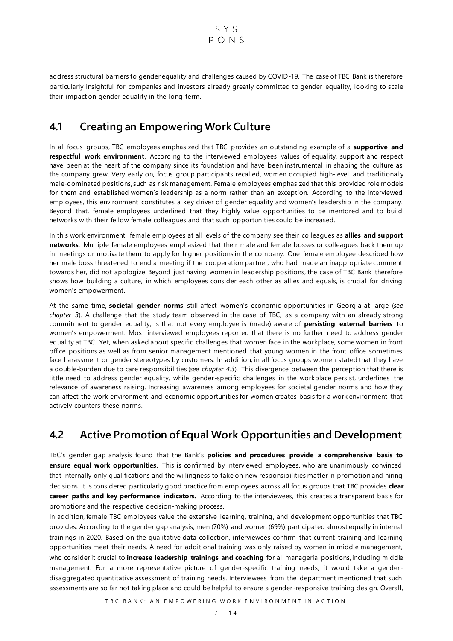$S Y S$  $P_{O}$ NS

address structural barriers to gender equality and challenges caused by COVID-19. The case of TBC Bank is therefore particularly insightful for companies and investors already greatly committed to gender equality, looking to scale their impact on gender equality in the long-term.

### <span id="page-7-0"></span>**4.1 Creating an Empowering Work Culture**

In all focus groups, TBC employees emphasized that TBC provides an outstanding example of a **supportive and respectful work environment**. According to the interviewed employees, values of equality, support and respect have been at the heart of the company since its foundation and have been instrumental in shaping the culture as the company grew. Very early on, focus group participants recalled, women occupied high-level and traditionally male-dominated positions, such as risk management. Female employees emphasized that this provided role models for them and established women's leadership as a norm rather than an exception. According to the interviewed employees, this environment constitutes a key driver of gender equality and women's leadership in the company. Beyond that, female employees underlined that they highly value opportunities to be mentored and to build networks with their fellow female colleagues and that such opportunities could be increased.

In this work environment, female employees at all levels of the company see their colleagues as **allies and support networks**. Multiple female employees emphasized that their male and female bosses or colleagues back them up in meetings or motivate them to apply for higher positions in the company. One female employee described how her male boss threatened to end a meeting if the cooperation partner, who had made an inappropriate comment towards her, did not apologize. Beyond just having women in leadership positions, the case of TBC Bank therefore shows how building a culture, in which employees consider each other as allies and equals, is crucial for driving women's empowerment.

At the same time, **societal gender norms** still affect women's economic opportunities in Georgia at large (*see chapter 3*). A challenge that the study team observed in the case of TBC, as a company with an already strong commitment to gender equality, is that not every employee is (made) aware of **persisting external barriers** to women's empowerment. Most interviewed employees reported that there is no further need to address gender equality at TBC. Yet, when asked about specific challenges that women face in the workplace, some women in front office positions as well as from senior management mentioned that young women in the front office sometimes face harassment or gender stereotypes by customers. In addition, in all focus groups women stated that they have a double-burden due to care responsibilities (*see chapter 4.3*). This divergence between the perception that there is little need to address gender equality, while gender-specific challenges in the workplace persist, underlines the relevance of awareness raising. Increasing awareness among employees for societal gender norms and how they can affect the work environment and economic opportunities for women creates basis for a work environment that actively counters these norms.

#### <span id="page-7-1"></span>**4.2 Active Promotion of Equal Work Opportunities and Development**

TBC's gender gap analysis found that the Bank's **policies and procedures provide a comprehensive basis to ensure equal work opportunities**. This is confirmed by interviewed employees, who are unanimously convinced that internally only qualifications and the willingness to take on new responsibilities matter in promotion and hiring decisions. It is considered particularly good practice from employees across all focus groups that TBC provides **clear career paths and key performance indicators.** According to the interviewees, this creates a transparent basis for promotions and the respective decision-making process.

In addition, female TBC employees value the extensive learning, training, and development opportunities that TBC provides. According to the gender gap analysis, men (70%) and women (69%) participated almost equally in internal trainings in 2020. Based on the qualitative data collection, interviewees confirm that current training and learning opportunities meet their needs. A need for additional training was only raised by women in middle management, who consider it crucial to **increase leadership trainings and coaching** for all managerial positions, including middle management. For a more representative picture of gender-specific training needs, it would take a genderdisaggregated quantitative assessment of training needs. Interviewees from the department mentioned that such assessments are so far not taking place and could be helpful to ensure a gender -responsive training design. Overall,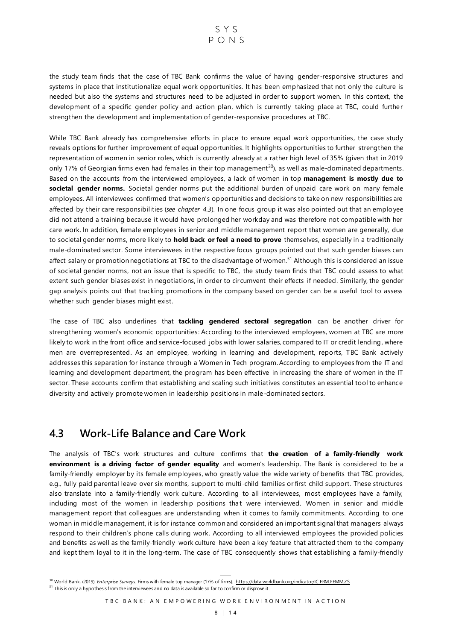the study team finds that the case of TBC Bank confirms the value of having gender-responsive structures and systems in place that institutionalize equal work opportunities. It has been emphasized that not only the culture is needed but also the systems and structures need to be adjusted in order to support women. In this context, the development of a specific gender policy and action plan, which is currently taking place at TBC, could further strengthen the development and implementation of gender-responsive procedures at TBC.

While TBC Bank already has comprehensive efforts in place to ensure equal work opportunities, the case study reveals options for further improvement of equal opportunities. It highlights opportunities to further strengthen the representation of women in senior roles, which is currently already at a rather high level of 35% (given that in 2019 only 17% of Georgian firms even had females in their top management $30$ , as well as male-dominated departments. Based on the accounts from the interviewed employees, a lack of women in top **management is mostly due to societal gender norms.** Societal gender norms put the additional burden of unpaid care work on many female employees. All interviewees confirmed that women's opportunities and decisions to take on new responsibilities are affected by their care responsibilities (*see chapter 4.3*). In one focus group it was also pointed out that an employee did not attend a training because it would have prolonged her workday and was therefore not compatible with her care work. In addition, female employees in senior and middle management report that women are generally, due to societal gender norms, more likely to **hold back or feel a need to prove** themselves, especially in a traditionally male-dominated sector. Some interviewees in the respective focus groups pointed out that such gender biases can affect salary or promotion negotiations at TBC to the disadvantage of women.<sup>31</sup> Although this is considered an issue of societal gender norms, not an issue that is specific to TBC, the study team finds that TBC could assess to what extent such gender biases exist in negotiations, in order to circumvent their effects if needed. Similarly, the gender gap analysis points out that tracking promotions in the company based on gender can be a useful tool to assess whether such gender biases might exist.

The case of TBC also underlines that **tackling gendered sectoral segregation** can be another driver for strengthening women's economic opportunities: According to the interviewed employees, women at TBC are more likely to work in the front office and service-focused jobs with lower salaries, compared to IT or credit lending, where men are overrepresented. As an employee, working in learning and development, reports, TBC Bank actively addresses this separation for instance through a Women in Tech program. According to employees from the IT and learning and development department, the program has been effective in increasing the share of women in the IT sector. These accounts confirm that establishing and scaling such initiatives constitutes an essential tool to enhance diversity and actively promote women in leadership positions in male-dominated sectors.

#### <span id="page-8-0"></span>**4.3 Work-Life Balance and Care Work**

The analysis of TBC's work structures and culture confirms that **the creation of a family-friendly work environment is a driving factor of gender equality** and women's leadership. The Bank is considered to be a family-friendly employer by its female employees, who greatly value the wide variety of benefits that TBC provides, e.g., fully paid parental leave over six months, support to multi-child families or first child support. These structures also translate into a family-friendly work culture. According to all interviewees, most employees have a family, including most of the women in leadership positions that were interviewed. Women in senior and middle management report that colleagues are understanding when it comes to family commitments. According to one woman in middle management, it is for instance common and considered an important signal that managers always respond to their children's phone calls during work. According to all interviewed employees the provided policies and benefits as well as the family-friendly work culture have been a key feature that attracted them to the company and kept them loyal to it in the long-term. The case of TBC consequently shows that establishing a family-friendly

<sup>&</sup>lt;sup>30</sup> World Bank, (2019). *Enterprise Surveys*. Firms with female top manager (17% of firms)[. https://data.worldbank.org/indicator/IC.FRM.FEMM.ZS](https://data.worldbank.org/indicator/IC.FRM.FEMM.ZS)

<sup>&</sup>lt;sup>31</sup> This is only a hypothesis from the interviewees and no data is available so far to confirm or disprove it.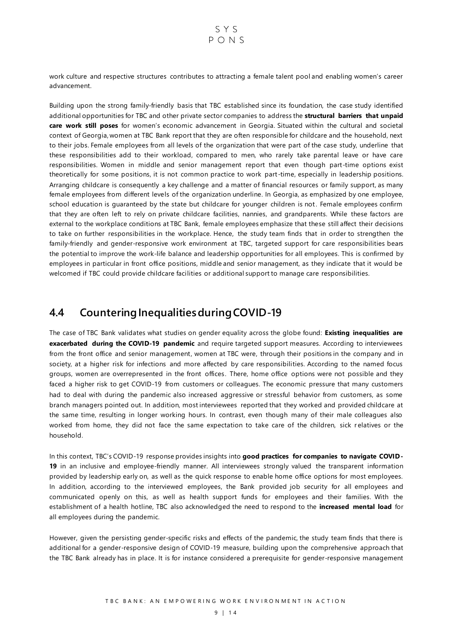work culture and respective structures contributes to attracting a female talent pool and enabling women's career advancement.

Building upon the strong family-friendly basis that TBC established since its foundation, the case study identified additional opportunities for TBC and other private sector companies to address the **structural barriers that unpaid care work still poses** for women's economic advancement in Georgia. Situated within the cultural and societal context of Georgia, women at TBC Bank report that they are often responsible for childcare and the household, next to their jobs. Female employees from all levels of the organization that were part of the case study, underline that these responsibilities add to their workload, compared to men, who rarely take parental leave or have care responsibilities. Women in middle and senior management report that even though part-time options exist theoretically for some positions, it is not common practice to work part -time, especially in leadership positions. Arranging childcare is consequently a key challenge and a matter of financial resources or family support, as many female employees from different levels of the organization underline. In Georgia, as emphasized by one employee, school education is guaranteed by the state but childcare for younger children is not. Female employees confirm that they are often left to rely on private childcare facilities, nannies, and grandparents. While these factors are external to the workplace conditions at TBC Bank, female employees emphasize that these still affect their decisions to take on further responsibilities in the workplace. Hence, the study team finds that in order to strengthen the family-friendly and gender-responsive work environment at TBC, targeted support for care responsibilities bears the potential to improve the work-life balance and leadership opportunities for all employees. This is confirmed by employees in particular in front office positions, middle and senior management, as they indicate that it would be welcomed if TBC could provide childcare facilities or additional support to manage care responsibilities.

#### <span id="page-9-0"></span>**4.4 Countering Inequalities during COVID-19**

The case of TBC Bank validates what studies on gender equality across the globe found: **Existing inequalities are exacerbated during the COVID-19 pandemic** and require targeted support measures. According to interviewees from the front office and senior management, women at TBC were, through their positions in the company and in society, at a higher risk for infections and more affected by care responsibilities. According to the named focus groups, women are overrepresented in the front offices. There, home office options were not possible and they faced a higher risk to get COVID-19 from customers or colleagues. The economic pressure that many customers had to deal with during the pandemic also increased aggressive or stressful behavior from customers, as some branch managers pointed out. In addition, most interviewees reported that they worked and provided childcare at the same time, resulting in longer working hours. In contrast, even though many of their male colleagues also worked from home, they did not face the same expectation to take care of the children, sick r elatives or the household.

In this context, TBC's COVID-19 response provides insights into **good practices for companies to navigate COVID-19** in an inclusive and employee-friendly manner. All interviewees strongly valued the transparent information provided by leadership early on, as well as the quick response to enable home office options for most employees. In addition, according to the interviewed employees, the Bank provided job security for all employees and communicated openly on this, as well as health support funds for employees and their families. With the establishment of a health hotline, TBC also acknowledged the need to respond to the **increased mental load** for all employees during the pandemic.

However, given the persisting gender-specific risks and effects of the pandemic, the study team finds that there is additional for a gender-responsive design of COVID-19 measure, building upon the comprehensive approach that the TBC Bank already has in place. It is for instance considered a prerequisite for gender-responsive management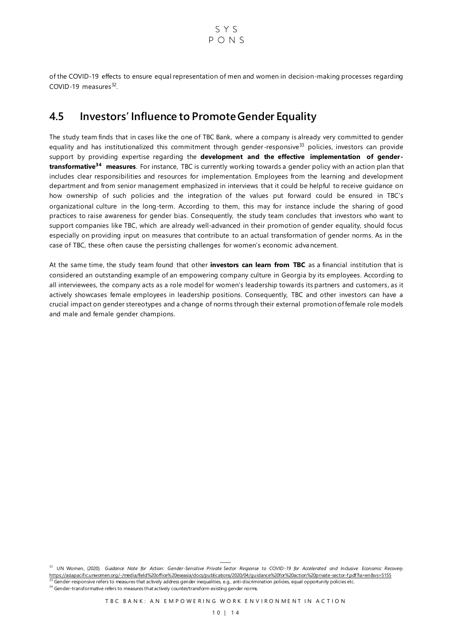of the COVID-19 effects to ensure equal representation of men and women in decision-making processes regarding COVID-19 measures $^{32}$ .

#### <span id="page-10-0"></span>**4.5 Investors' Influence to Promote Gender Equality**

The study team finds that in cases like the one of TBC Bank, where a company is already very committed to gender equality and has institutionalized this commitment through gender-responsive<sup>33</sup> policies, investors can provide support by providing expertise regarding the **development and the effective implementation of gendertransformative<sup>34</sup> measures**. For instance, TBC is currently working towards a gender policy with an action plan that includes clear responsibilities and resources for implementation. Employees from the learning and development department and from senior management emphasized in interviews that it could be helpful to receive guidance on how ownership of such policies and the integration of the values put forward could be ensured in TBC's organizational culture in the long-term. According to them, this may for instance include the sharing of good practices to raise awareness for gender bias. Consequently, the study team concludes that investors who want to support companies like TBC, which are already well-advanced in their promotion of gender equality, should focus especially on providing input on measures that contribute to an actual transformation of gender norms. As in the case of TBC, these often cause the persisting challenges for women's economic adva ncement.

At the same time, the study team found that other **investors can learn from TBC** as a financial institution that is considered an outstanding example of an empowering company culture in Georgia by its employees. According to all interviewees, the company acts as a role model for women's leadership towards its partners and customers, as it actively showcases female employees in leadership positions. Consequently, TBC and other investors can have a crucial impact on gender stereotypes and a change of norms through their external promotion of female role models and male and female gender champions.

<sup>32</sup> UN Women, (2020). Guidance Note for Action: Gender-Sensitive Private Sector Response to COVID-19 for Accelerated and Inclusive Economic Recovery. <https://asiapacific.unwomen.org/-/media/field%20office%20eseasia/docs/publications/2020/04/guidance%20for%20action%20private-sector-f.pdf?la=en&vs=5155> 33 Gender-responsive refers to measures that actively address gender inequalities, e.g., anti-discrimination policies, equal opportunity policies etc.

<sup>34</sup> Gender-transformative refers to measures that actively counter/transform existing gender norms.

TBC BANK: AN EMPOWERING WORK ENVIRONMENT IN ACTION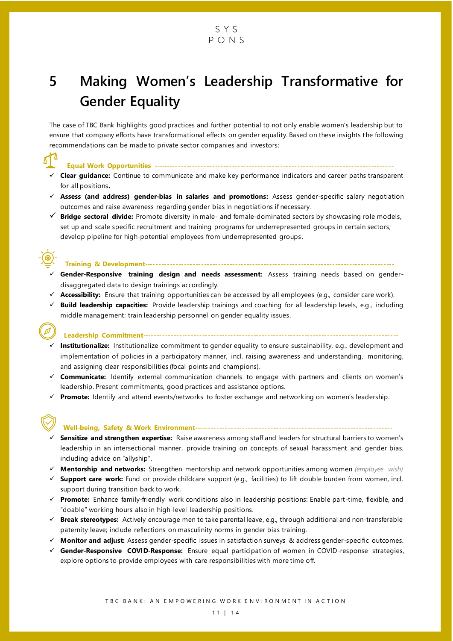

## <span id="page-11-0"></span>**5 Making Women's Leadership Transformative for Gender Equality**

The case of TBC Bank highlights good practices and further potential to not only enable women's leadership but to ensure that company efforts have transformational effects on gender equality. Based on these insights the following recommendations can be made to private sector companies and investors:

**Equal Work Opportunities -------------------------------------------------------------------------------------**

- ✓ **Clear guidance:** Continue to communicate and make key performance indicators and career paths transparent for all positions**.**
- ✓ **Assess (and address) gender-bias in salaries and promotions:** Assess gender-specific salary negotiation outcomes and raise awareness regarding gender bias in negotiations if necessary.
- ✓ **Bridge sectoral divide:** Promote diversity in male- and female-dominated sectors by showcasing role models, set up and scale specific recruitment and training programs for underrepresented groups in certain sectors; develop pipeline for high-potential employees from underrepresented groups.



#### **Training & Development----------------------------------------------------------------------------------------**

- ✓ **Gender-Responsive training design and needs assessment:** Assess training needs based on genderdisaggregated data to design trainings accordingly.
- ✓ **Accessibility:** Ensure that training opportunities can be accessed by all employees (e.g., consider care work).
- ✓ **Build leadership capacities:** Provide leadership trainings and coaching for all leadership levels, e.g., including middle management; train leadership personnel on gender equality issues.

**Leadership Commitment------------------------------------------------------------------------------------------**

- ✓ **Institutionalize:** Institutionalize commitment to gender equality to ensure sustainability, e.g., development and implementation of policies in a participatory manner, incl. raising awareness and understanding, monitoring, and assigning clear responsibilities (focal points and champions).
- ✓ **Communicate:** Identify external communication channels to engage with partners and clients on women's leadership. Present commitments, good practices and assistance options.
- ✓ **Promote:** Identify and attend events/networks to foster exchange and networking on women's leadership.

#### **Well-being, Safety & Work Environment----------------------------------------------------------------------**

- ✓ **Sensitize and strengthen expertise:** Raise awareness among staff and leaders for structural barriers to women's leadership in an intersectional manner, provide training on concepts of sexual harassment and gender bias, including advice on "allyship".
- ✓ **Mentorship and networks:** Strengthen mentorship and network opportunities among women *(employee wish)*
- ✓ **Support care work:** Fund or provide childcare support (e.g., facilities) to lift double burden from women, incl. support during transition back to work.
- ✓ **Promote:** Enhance family-friendly work conditions also in leadership positions: Enable part-time, flexible, and "doable" working hours also in high-level leadership positions.
- ✓ **Break stereotypes:** Actively encourage men to take parental leave, e.g., through additional and non-transferable paternity leave; include reflections on masculinity norms in gender bias training.
- ✓ **Monitor and adjust:** Assess gender-specific issues in satisfaction surveys & address gender-specific outcomes.
- ✓ **Gender-Responsive COVID-Response:** Ensure equal participation of women in COVID-response strategies, explore options to provide employees with care responsibilities with more time off.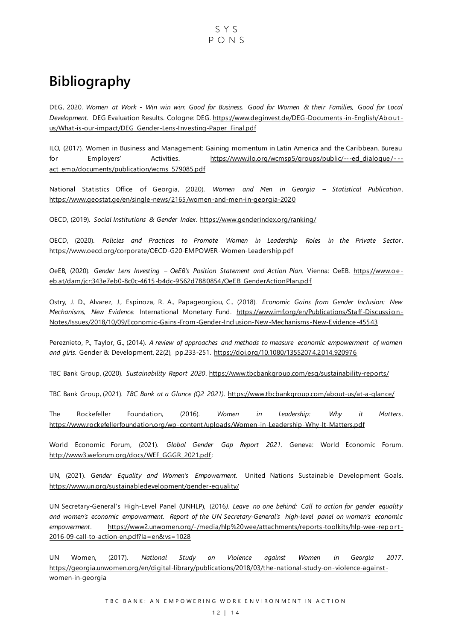### <span id="page-12-0"></span>**Bibliography**

DEG, 2020. *Women at Work - Win win win: Good for Business, Good for Women & their Families, Good for Local Development.* DEG Evaluation Results. Cologne: DEG[. https://www.deginvest.de/DEG-Documents](https://www.deginvest.de/DEG-Documents-in-English/About-us/What-is-our-impact/DEG_Gender-Lens-Investing-Paper_Final.pdf) -in-English/Ab o ut [us/What-is-our-impact/DEG\\_Gender-Lens-Investing-Paper\\_Final.pdf](https://www.deginvest.de/DEG-Documents-in-English/About-us/What-is-our-impact/DEG_Gender-Lens-Investing-Paper_Final.pdf)

ILO, (2017). Women in Business and Management: Gaining momentum in Latin America and the Caribbean. Bureau for Employers' Activities. https://www.ilo.org/wcmsp5/groups/public/---ed\_dialogue/--[act\\_emp/documents/publication/wcms\\_579085.pdf](https://www.ilo.org/wcmsp5/groups/public/---ed_dialogue/---act_emp/documents/publication/wcms_579085.pdf)

National Statistics Office of Georgia, (2020). *Women and Men in Georgia – Statistical Publication*. <https://www.geostat.ge/en/single-news/2165/women-and-men-in-georgia-2020>

OECD, (2019). *Social Institutions & Gender Index*.<https://www.genderindex.org/ranking/>

OECD, (2020). *Policies and Practices to Promote Women in Leadership Roles in the Private Sector*. <https://www.oecd.org/corporate/OECD-G20-EMPOWER-Women-Leadership.pdf>

OeEB, (2020). Gender Lens Investing - OeEB's Position Statement and Action Plan. Vienna: OeEB. https://www.oeeb.at/dam/jcr:343e7eb0-8c0c-4615-b4dc-9562d7880854/OeEB\_GenderActionPlan.pd f

Ostry, J. D., Alvarez, J., Espinoza, R. A., Papageorgiou, C., (2018). *Economic Gains from Gender Inclusion: New Mechanisms, New Evidence.* International Monetary Fund. [https://www.imf.org/en/Publications/Staff-Discussio n-](https://www.imf.org/en/Publications/Staff-Discussion-Notes/‌Issues/2018/10/09/Economic-Gains-From-Gender-Inclusion-New-Mechanisms-New-Evidence-45543)Notes/Issues/2018/10/09/Economic-Gains [-From-Gender-Inclusion-New-Mechanisms-New-Evidence-45543](https://www.imf.org/en/Publications/Staff-Discussion-Notes/‌Issues/2018/10/09/Economic-Gains-From-Gender-Inclusion-New-Mechanisms-New-Evidence-45543) 

Pereznieto, P., Taylor, G., (2014). *A review of approaches and methods to measure economic empowerment of women and girls*. Gender & Development, 22(2), pp.233-251.<https://doi.org/10.1080/13552074.2014.920976>

TBC Bank Group, (2020). *Sustainability Report 2020*.<https://www.tbcbankgroup.com/esg/sustainability-reports/>

TBC Bank Group, (2021). *TBC Bank at a Glance (Q2 2021)*.<https://www.tbcbankgroup.com/about-us/at-a-glance/>

The Rockefeller Foundation, (2016). *Women in Leadership: Why it Matters*. <https://www.rockefellerfoundation.org/wp-content/uploads/Women-in-Leadership-Why-It-Matters.pdf>

World Economic Forum, (2021). *Global Gender Gap Report 2021*. Geneva: World Economic Forum. [http://www3.weforum.org/docs/WEF\\_GGGR\\_2021.pdf;](http://www3.weforum.org/docs/WEF_GGGR_2021.pdf) 

UN, (2021). *Gender Equality and Women's Empowerment.* United Nations Sustainable Development Goals. [https://www.un.org/sustainabledevelopment/gender-eq uality/](https://www.un.org/sustainabledevelopment/gender-equality/)

UN Secretary-General's High-Level Panel (UNHLP), (2016*). Leave no one behind: Call to action for gender equality and women's economic empowerment. Report of the UN Secretary-General's high-level panel on women's economic empowerment*. [https://www2.unwomen.org/-/media/hlp%20wee/attachments/reports-toolkits/hlp-wee-rep o rt](https://www2.unwomen.org/-/media/hlp%20wee/attachments/reports-toolkits/hlp-wee-report-2016-09-call-to-action-en.pdf?la=en&vs=1028) - [2016-09-call-to-action-en.pdf?la=en&vs=1028](https://www2.unwomen.org/-/media/hlp%20wee/attachments/reports-toolkits/hlp-wee-report-2016-09-call-to-action-en.pdf?la=en&vs=1028)

UN Women, (2017). *National Study on Violence against Women in Georgia 2017*. [https://georgia.unwomen.org/en/digital-library/publications/2018/03/the-national-stud y-on-violence-against](https://georgia.unwomen.org/en/digital-library/publications/2018/03/the-national-study-on-violence-against-women-in-georgia) [women-in-georgia](https://georgia.unwomen.org/en/digital-library/publications/2018/03/the-national-study-on-violence-against-women-in-georgia)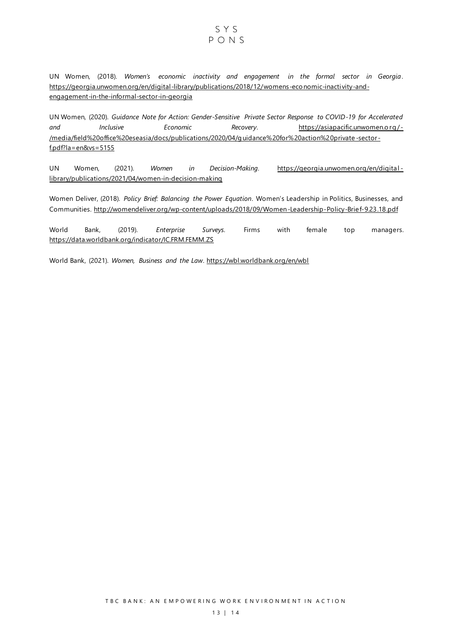#### SYS  $PONS$

UN Women, (2018). *Women's economic inactivity and engagement in the formal sector in Georgia*. [https://georgia.unwomen.org/en/digital-library/publications/2018/12/womens-eco nomic-inactivity-and](https://georgia.unwomen.org/en/digital-library/publications/2018/12/womens-economic-inactivity-and-engagement-in-the-informal-sector-in-georgia)[engagement-in-the-informal-sector-in-georgia](https://georgia.unwomen.org/en/digital-library/publications/2018/12/womens-economic-inactivity-and-engagement-in-the-informal-sector-in-georgia)

UN Women, (2020). *Guidance Note for Action: Gender-Sensitive Private Sector Response to COVID-19 for Accelerated*  and Inclusive Economic Recovery. https://asiapacific.unwomen.org/-[/media/field%20office%20eseasia/docs/publications/2020/04/g uidance%20for%20action%20private](https://asiapacific.unwomen.org/-/media/field%20office%20eseasia/docs/publications/2020/04/guidance%20for%20action%20private-sector-f.pdf?la=en&vs=5155) -sector [f.pdf?la=en&vs=5155](https://asiapacific.unwomen.org/-/media/field%20office%20eseasia/docs/publications/2020/04/guidance%20for%20action%20private-sector-f.pdf?la=en&vs=5155)

UN Women, (2021). *Women in Decision-Making*. [https://georgia.unwomen.org/en/digital](https://georgia.unwomen.org/en/digital-library/publications/2021/04/women-in-decision-making) [library/publications/2021/04/women-in-decision-making](https://georgia.unwomen.org/en/digital-library/publications/2021/04/women-in-decision-making)

Women Deliver, (2018). *Policy Brief: Balancing the Power Equation*. Women's Leadership in Politics, Businesses, and Communities.<http://womendeliver.org/wp-content/uploads/2018/09/Women-Leadership-Policy-Brief-9.23.18.pdf>

World Bank, (2019). *Enterprise Surveys*. Firms with female top managers. <https://data.worldbank.org/indicator/IC.FRM.FEMM.ZS>

World Bank, (2021). *Women, Business and the Law*.<https://wbl.worldbank.org/en/wbl>